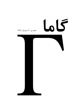## 66

## شماره ی ۲۱، زمستان ِ ۱۳۸۷

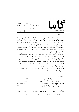$\overline{S}$ 

www.gammajournal.ir

به نام خدا

**ISSN 1735.1286** 

• گاما فصل نامه ای است به زبان په فارسی، در باره ی ِ فیزیک . آن چه در گاما منتشر می شود بیش تر مقالهها ی ِ آموزشی، در زمینه ی ِ فرهنگ یا تاریخ ِ فیزیک، یا در مورد ِ مسائل ِ فیزیک در ایران است، و قرار است جنبه ی ِ آموزشی و فرهنگی داشته باشد و برای دانشجویان ِ فیزیک یا دانش آموخته گان <sub>-</sub> فیزیک، یا دستِکم بخش ی از آنها قابلاستفاده باشد. • مقالههای گاما نوعاً تالَّیفی اند. سعی بر این است که فقط مقالهها ی ِ کلاسیک ِ فیزیک، و نوشتهها ی ِ فیزیکپیشهها ی ِ بزرگ ترجمه شود. اگر می خواهید چیز ی را ترجمه کنید، لطفاً اول با هیئت <sub>-</sub> ویراستاران تماس بگیرید. • برا ی ِ تماس با گاما، و از جمله فرستادن ِ مقاله، لطفاً با یک ی از ویراستاران ِ گاما تماس بگیرید. • پذیرش ِ مقاله با هیئت ِ ویراستاران و بر اساس ِ روش ِ متداول ِ داوری توسّط ِ داور ِ ناشناس است. هیئت ِ ویراستاران یا مقاله را می پذیرد، یا رد می کند، امّا هرگز در نوشته ی ِ نویسنده دخل و تصرّف ی نمی کند. اگر به نظر ِ داور تغییر ی در مقاله لازم باشد، اعمال ِ این تغییر با خود ِ نویسنده (ها) است. • مقاله ی پذیرفته شده، پیش از چاپ، بر اساس ِ آخرین نسخه ای که نویسنده فرستاده حروفچینی می شود و پس از تاّیید ِ نویسنده است که چاپ می شود. • © تمام ِ حقوق ِ مادّي و معنوي ي ِ آن چه در گاما منتشر ميشود متعلق است به گاما، مگر در موارد ی که صراحتاً مشخّص شده باشد.

|                           | ويراستاران:                                        |
|---------------------------|----------------------------------------------------|
| a_aghamohammadi@yahoo.com | • امیر ِ آقامحمّدی، دانشگاه ِ الزّهرا، تهران       |
| shariati@mailaps.org      | • احمد ِ شریعتی (سردبیر)، دانشگاه ِ الزّهرا، تهران |
| ashafie@ipm.ir            | • عزیزاله _ شفیع خانبي، دانش گاه _ الزّهرا، تهران  |
| ahfatol@gmail.com         | • امیرحسین ِ فتحاللهی، دانشگاه ِ الزّهرا، تهران    |

تاريخ \_ انتشار ١٣٨٨/٨/١٣ قيمت ٥٥٥ تومان. شمارگان : ۱۰۰۰ نسخه <sup>1</sup> <sup>1</sup> ليتوگرافي، چاپ، و صحافي: سازمان چاپ و انتشارات و زارت فرهنگ و ارشاد اسلامي.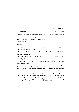| www.gammajournal.ir |
|---------------------|
|                     |
|                     |
|                     |
|                     |

ISSN 1735.1286

Gamma is a quarterly Persian magazine, devoted to educational and cultural articles in physics. Gamma is not a research journal.

Address: Gamma, P. O. Box 633, Tehran 19935, IRAN.

 $\odot$  2004 - 2009, Gamma, all rights reserved.

## **Editors**

• A. Aghamohammadi Prof. of Physics, Alzahra University, Tehran 19938-91167, Iran. a aghamohammadi@yahoo.com

• A. H. Fatollahi Asoc. Prof. of Physics, Alzahra University, Tehran 19938-91167, Iran. ahfatol@gmail.com

• A. Shafikhani Asoc. Prof. of Physics, Alzahra University, Tehran 19938-91167, Iran. ashafie@ipm.ir

• A. Shariati Asoc. Prof. of Physics, Alzahra University, Tehran 19938-91167, Iran. shariati@mailaps.org

اشتراک (چهار شماره) عادی ۱۰۰۰۰ تومان، دانشجویی ۲۰۰۰ تومان، موّسسهها ۸۰۰۰ تومان. ر میں اس کے اس کے اس کے اس کا اس کا اس کا اس کا ان کا ان کا ان کا ان کا ان کا ان کا ان کا ان کا ان کا ان کا ان  $\alpha$ -5\$ &-Q( A 0

برا ی ِ اشتراک، پول ِ اشتراک را به حساب ِ سیبا، شماره ی 2002 3991 03 03 0 به نام ِ احمد شريعتي، (يا كارت 7783 1041 9911 6037) بريزيد. اصل \_ رسيد \_ بانك را پيش \_ خود نگه داريد، و ا المسلمان المسلمان المسلمان المسلمان المسلمان المسلمان المسلمان المسلمان المسلمان المسلمان المسلمان المسلمان ا حة وارير شمه است. ١/ اسم و تشابي اي حامل إنتيرنما الي مجنة الصفة التي إيستي الأمم بتويسيتا ا